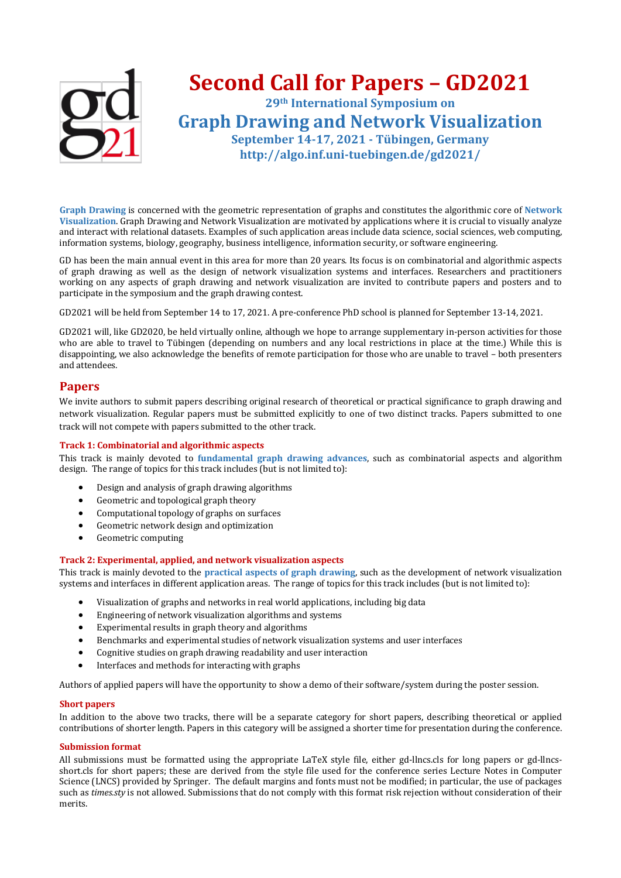

Graph Drawing is concerned with the geometric representation of graphs and constitutes the algorithmic core of Network Visualization. Graph Drawing and Network Visualization are motivated by applications where it is crucial to visually analyze and interact with relational datasets. Examples of such application areas include data science, social sciences, web computing, information systems, biology, geography, business intelligence, information security, or software engineering.

GD has been the main annual event in this area for more than 20 years. Its focus is on combinatorial and algorithmic aspects of graph drawing as well as the design of network visualization systems and interfaces. Researchers and practitioners working on any aspects of graph drawing and network visualization are invited to contribute papers and posters and to participate in the symposium and the graph drawing contest.

GD2021 will be held from September 14 to 17, 2021. A pre-conference PhD school is planned for September 13-14, 2021.

GD2021 will, like GD2020, be held virtually online, although we hope to arrange supplementary in-person activities for those who are able to travel to Tübingen (depending on numbers and any local restrictions in place at the time.) While this is disappointing, we also acknowledge the benefits of remote participation for those who are unable to travel - both presenters and attendees.

#### **Papers**

We invite authors to submit papers describing original research of theoretical or practical significance to graph drawing and network visualization. Regular papers must be submitted explicitly to one of two distinct tracks. Papers submitted to one track will not compete with papers submitted to the other track.

#### **Track 1: Combinatorial and algorithmic aspects**

This track is mainly devoted to *fundamental graph drawing advances*, such as combinatorial aspects and algorithm design. The range of topics for this track includes (but is not limited to):

- Design and analysis of graph drawing algorithms
- Geometric and topological graph theory
- Computational topology of graphs on surfaces
- Geometric network design and optimization
- Geometric computing

#### Track 2: Experimental, applied, and network visualization aspects

This track is mainly devoted to the **practical aspects of graph drawing**, such as the development of network visualization systems and interfaces in different application areas. The range of topics for this track includes (but is not limited to):

- Visualization of graphs and networks in real world applications, including big data
- Engineering of network visualization algorithms and systems
- Experimental results in graph theory and algorithms
- Benchmarks and experimental studies of network visualization systems and user interfaces
- Cognitive studies on graph drawing readability and user interaction
- Interfaces and methods for interacting with graphs

Authors of applied papers will have the opportunity to show a demo of their software/system during the poster session.

#### **Short** papers

In addition to the above two tracks, there will be a separate category for short papers, describing theoretical or applied contributions of shorter length. Papers in this category will be assigned a shorter time for presentation during the conference.

#### **Submission format**

All submissions must be formatted using the appropriate LaTeX style file, either gd-llncs.cls for long papers or gd-llncsshort.cls for short papers; these are derived from the style file used for the conference series Lecture Notes in Computer Science (LNCS) provided by Springer. The default margins and fonts must not be modified; in particular, the use of packages such as *times.sty* is not allowed. Submissions that do not comply with this format risk rejection without consideration of their merits.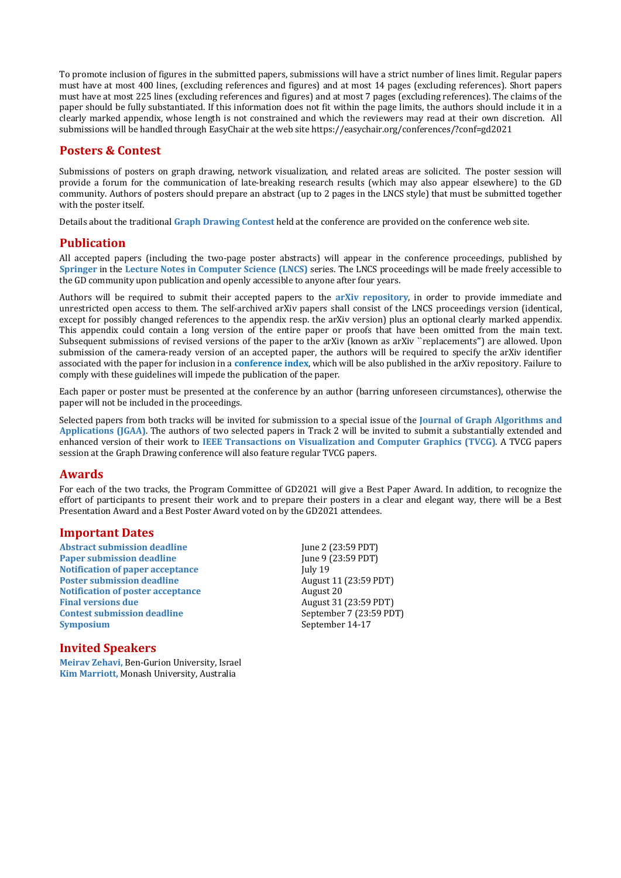To promote inclusion of figures in the submitted papers, submissions will have a strict number of lines limit. Regular papers must have at most 400 lines, (excluding references and figures) and at most 14 pages (excluding references). Short papers must have at most 225 lines (excluding references and figures) and at most 7 pages (excluding references). The claims of the paper should be fully substantiated. If this information does not fit within the page limits, the authors should include it in a clearly marked appendix, whose length is not constrained and which the reviewers may read at their own discretion. All submissions will be handled through EasyChair at the web site https://easychair.org/conferences/?conf=gd2021

## **Posters & Contest**

Submissions of posters on graph drawing, network visualization, and related areas are solicited. The poster session will provide a forum for the communication of late-breaking research results (which may also appear elsewhere) to the GD community. Authors of posters should prepare an abstract (up to 2 pages in the LNCS style) that must be submitted together with the poster itself.

Details about the traditional Graph Drawing Contest held at the conference are provided on the conference web site.

# **Publication**

All accepted papers (including the two-page poster abstracts) will appear in the conference proceedings, published by **Springer** in the Lecture Notes in Computer Science (LNCS) series. The LNCS proceedings will be made freely accessible to the GD community upon publication and openly accessible to anyone after four years.

Authors will be required to submit their accepted papers to the **arXiv** repository, in order to provide immediate and unrestricted open access to them. The self-archived arXiv papers shall consist of the LNCS proceedings version (identical, except for possibly changed references to the appendix resp. the arXiv version) plus an optional clearly marked appendix. This appendix could contain a long version of the entire paper or proofs that have been omitted from the main text. Subsequent submissions of revised versions of the paper to the arXiv (known as arXiv ``replacements'') are allowed. Upon submission of the camera-ready version of an accepted paper, the authors will be required to specify the arXiv identifier associated with the paper for inclusion in a conference index, which will be also published in the arXiv repository. Failure to comply with these guidelines will impede the publication of the paper.

Each paper or poster must be presented at the conference by an author (barring unforeseen circumstances), otherwise the paper will not be included in the proceedings.

Selected papers from both tracks will be invited for submission to a special issue of the **Journal of Graph Algorithms and Applications (IGAA)**. The authors of two selected papers in Track 2 will be invited to submit a substantially extended and enhanced version of their work to **IEEE Transactions** on Visualization and Computer Graphics (TVCG). A TVCG papers session at the Graph Drawing conference will also feature regular TVCG papers.

## **Awards**

For each of the two tracks, the Program Committee of GD2021 will give a Best Paper Award. In addition, to recognize the effort of participants to present their work and to prepare their posters in a clear and elegant way, there will be a Best Presentation Award and a Best Poster Award voted on by the GD2021 attendees.

## **Important Dates**

**Abstract submission deadline Paper submission deadline Notification of paper acceptance Poster submission deadline Notification of poster acceptance Final versions due Contest submission deadline Symposium**

#### June 2 (23:59 PDT) June 9 (23:59 PDT) July 19 August 11 (23:59 PDT) August 20 August 31 (23:59 PDT) September 7 (23:59 PDT) September 14-17

## **Invited Speakers**

**Meirav Zehavi, Ben-Gurion University, Israel Kim Marriott, Monash University, Australia**